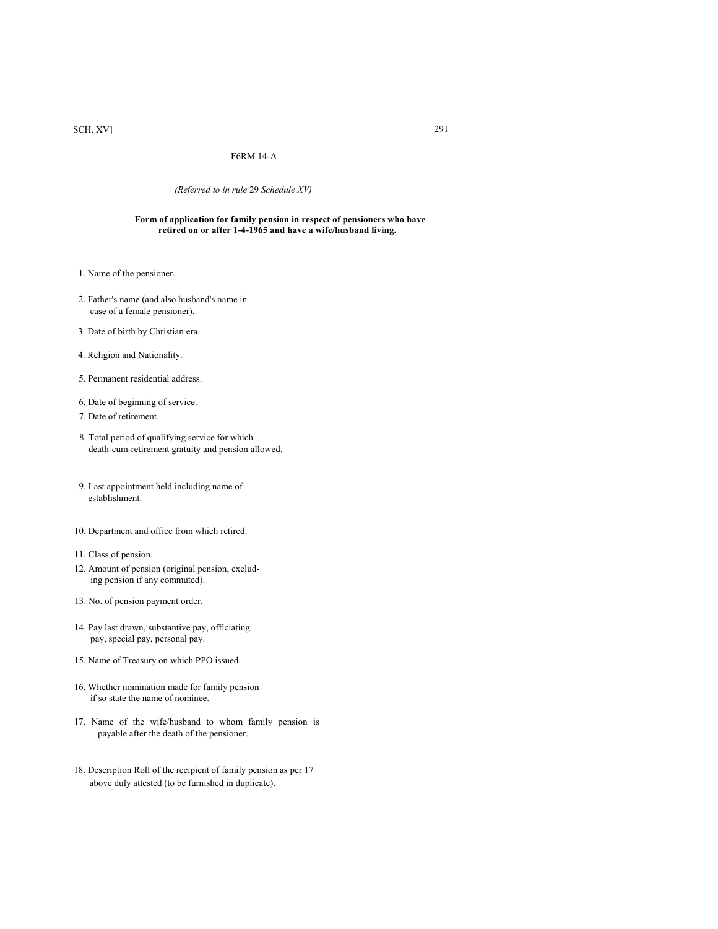# SCH. XV] 291

## F6RM 14-A

### *(Referred to in rule* 29 *Schedule XV)*

#### **Form of application for family pension in respect of pensioners who have retired on or after 1-4-1965 and have a wife/husband living.**

- 1. Name of the pensioner.
- 2. Father's name (and also husband's name in case of a female pensioner).
- 3. Date of birth by Christian era.
- 4. Religion and Nationality.
- 5. Permanent residential address.
- 6. Date of beginning of service.
- 7. Date of retirement.
- 8. Total period of qualifying service for which death-cum-retirement gratuity and pension allowed.
- 9. Last appointment held including name of establishment.
- 10. Department and office from which retired.
- 11. Class of pension.
- 12. Amount of pension (original pension, exclud ing pension if any commuted).
- 13. No. of pension payment order.
- 14. Pay last drawn, substantive pay, officiating pay, special pay, personal pay.
- 15. Name of Treasury on which PPO issued.
- 16. Whether nomination made for family pension if so state the name of nominee.
- 17. Name of the wife/husband to whom family pension is payable after the death of the pensioner.
- 18. Description Roll of the recipient of family pension as per 17 above duly attested (to be furnished in duplicate).